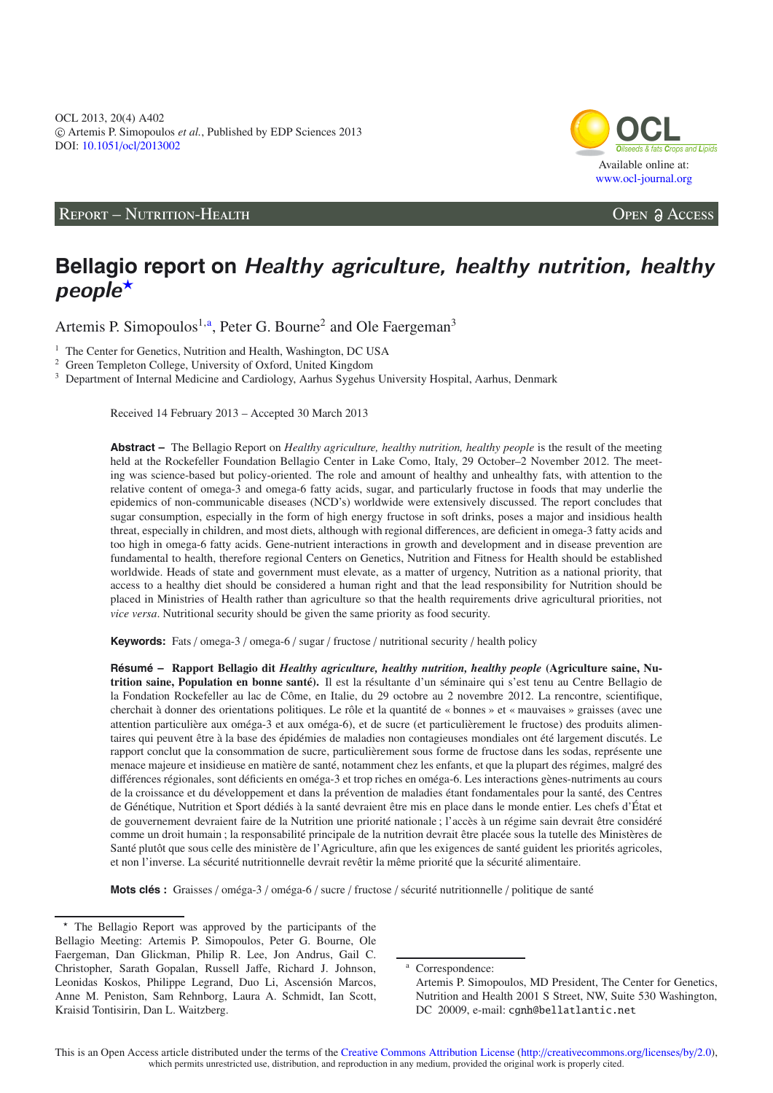REPORT – NUTRITION-HEALTH CHARGES OPEN ACCESS



# **Bellagio report on** *Healthy agriculture, healthy nutrition, healthy people*-

Artemis P. Simopoulos<sup>1,a</sup>, Peter G. Bourne<sup>2</sup> and Ole Faergeman<sup>3</sup>

<sup>1</sup> The Center for Genetics, Nutrition and Health, Washington, DC USA

<sup>2</sup> Green Templeton College, University of Oxford, United Kingdom

<sup>3</sup> Department of Internal Medicine and Cardiology, Aarhus Sygehus University Hospital, Aarhus, Denmark

Received 14 February 2013 – Accepted 30 March 2013

**Abstract –** The Bellagio Report on *Healthy agriculture, healthy nutrition, healthy people* is the result of the meeting held at the Rockefeller Foundation Bellagio Center in Lake Como, Italy, 29 October–2 November 2012. The meeting was science-based but policy-oriented. The role and amount of healthy and unhealthy fats, with attention to the relative content of omega-3 and omega-6 fatty acids, sugar, and particularly fructose in foods that may underlie the epidemics of non-communicable diseases (NCD's) worldwide were extensively discussed. The report concludes that sugar consumption, especially in the form of high energy fructose in soft drinks, poses a major and insidious health threat, especially in children, and most diets, although with regional differences, are deficient in omega-3 fatty acids and too high in omega-6 fatty acids. Gene-nutrient interactions in growth and development and in disease prevention are fundamental to health, therefore regional Centers on Genetics, Nutrition and Fitness for Health should be established worldwide. Heads of state and government must elevate, as a matter of urgency, Nutrition as a national priority, that access to a healthy diet should be considered a human right and that the lead responsibility for Nutrition should be placed in Ministries of Health rather than agriculture so that the health requirements drive agricultural priorities, not *vice versa*. Nutritional security should be given the same priority as food security.

**Keywords:** Fats / omega-3 / omega-6 / sugar / fructose / nutritional security / health policy

**Résumé – Rapport Bellagio dit** *Healthy agriculture, healthy nutrition, healthy people* **(Agriculture saine, Nutrition saine, Population en bonne santé).** Il est la résultante d'un séminaire qui s'est tenu au Centre Bellagio de la Fondation Rockefeller au lac de Côme, en Italie, du 29 octobre au 2 novembre 2012. La rencontre, scientifique, cherchait à donner des orientations politiques. Le rôle et la quantité de « bonnes » et « mauvaises » graisses (avec une attention particulière aux oméga-3 et aux oméga-6), et de sucre (et particulièrement le fructose) des produits alimentaires qui peuvent être à la base des épidémies de maladies non contagieuses mondiales ont été largement discutés. Le rapport conclut que la consommation de sucre, particulièrement sous forme de fructose dans les sodas, représente une menace majeure et insidieuse en matière de santé, notamment chez les enfants, et que la plupart des régimes, malgré des différences régionales, sont déficients en oméga-3 et trop riches en oméga-6. Les interactions gènes-nutriments au cours de la croissance et du développement et dans la prévention de maladies étant fondamentales pour la santé, des Centres de Génétique, Nutrition et Sport dédiés à la santé devraient être mis en place dans le monde entier. Les chefs d'État et de gouvernement devraient faire de la Nutrition une priorité nationale ; l'accès à un régime sain devrait être considéré comme un droit humain ; la responsabilité principale de la nutrition devrait être placée sous la tutelle des Ministères de Santé plutôt que sous celle des ministère de l'Agriculture, afin que les exigences de santé guident les priorités agricoles, et non l'inverse. La sécurité nutritionnelle devrait revêtir la même priorité que la sécurité alimentaire.

**Mots clés :** Graisses / oméga-3 / oméga-6 / sucre / fructose / sécurité nutritionnelle / politique de santé

Correspondence:

 $\star$  The Bellagio Report was approved by the participants of the Bellagio Meeting: Artemis P. Simopoulos, Peter G. Bourne, Ole Faergeman, Dan Glickman, Philip R. Lee, Jon Andrus, Gail C. Christopher, Sarath Gopalan, Russell Jaffe, Richard J. Johnson, Leonidas Koskos, Philippe Legrand, Duo Li, Ascensión Marcos, Anne M. Peniston, Sam Rehnborg, Laura A. Schmidt, Ian Scott, Kraisid Tontisirin, Dan L. Waitzberg.

Artemis P. Simopoulos, MD President, The Center for Genetics, Nutrition and Health 2001 S Street, NW, Suite 530 Washington, DC 20009, e-mail: cgnh@bellatlantic.net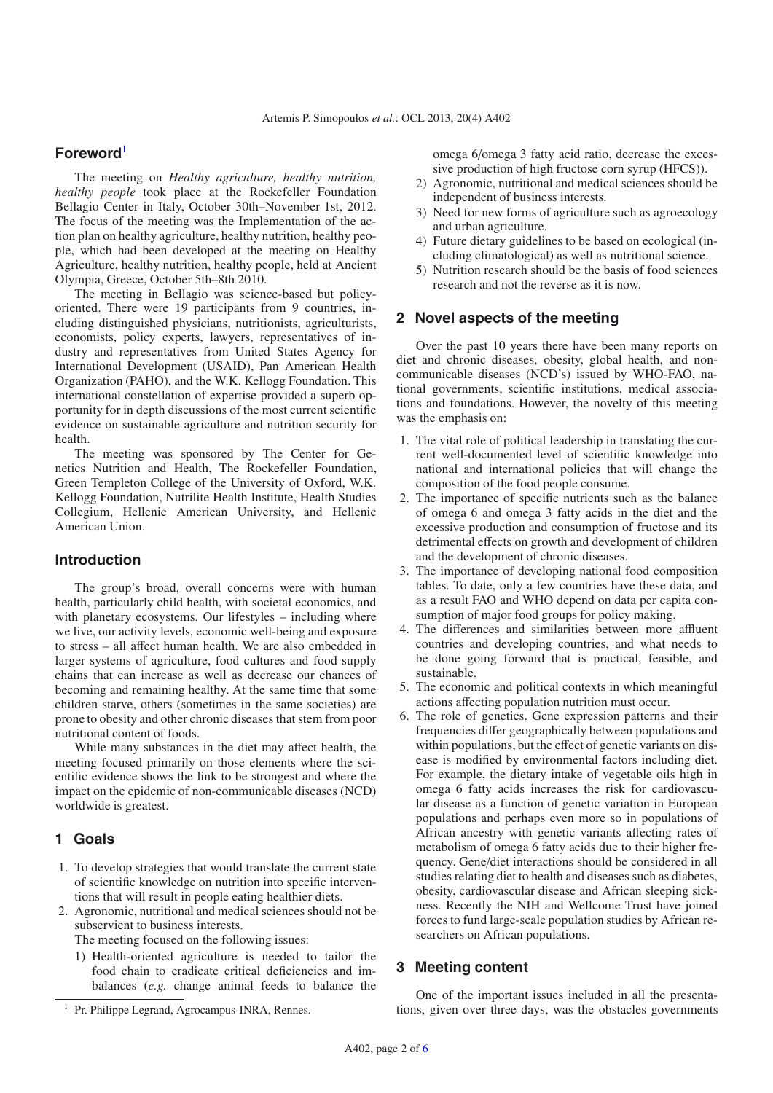## **Foreword**<sup>[1](#page-1-0)</sup>

The meeting on *Healthy agriculture, healthy nutrition, healthy people* took place at the Rockefeller Foundation Bellagio Center in Italy, October 30th–November 1st, 2012. The focus of the meeting was the Implementation of the action plan on healthy agriculture, healthy nutrition, healthy people, which had been developed at the meeting on Healthy Agriculture, healthy nutrition, healthy people, held at Ancient Olympia, Greece, October 5th–8th 2010.

The meeting in Bellagio was science-based but policyoriented. There were 19 participants from 9 countries, including distinguished physicians, nutritionists, agriculturists, economists, policy experts, lawyers, representatives of industry and representatives from United States Agency for International Development (USAID), Pan American Health Organization (PAHO), and the W.K. Kellogg Foundation. This international constellation of expertise provided a superb opportunity for in depth discussions of the most current scientific evidence on sustainable agriculture and nutrition security for health.

The meeting was sponsored by The Center for Genetics Nutrition and Health, The Rockefeller Foundation, Green Templeton College of the University of Oxford, W.K. Kellogg Foundation, Nutrilite Health Institute, Health Studies Collegium, Hellenic American University, and Hellenic American Union.

## **Introduction**

The group's broad, overall concerns were with human health, particularly child health, with societal economics, and with planetary ecosystems. Our lifestyles – including where we live, our activity levels, economic well-being and exposure to stress – all affect human health. We are also embedded in larger systems of agriculture, food cultures and food supply chains that can increase as well as decrease our chances of becoming and remaining healthy. At the same time that some children starve, others (sometimes in the same societies) are prone to obesity and other chronic diseases that stem from poor nutritional content of foods.

While many substances in the diet may affect health, the meeting focused primarily on those elements where the scientific evidence shows the link to be strongest and where the impact on the epidemic of non-communicable diseases (NCD) worldwide is greatest.

## <span id="page-1-0"></span>**1 Goals**

- 1. To develop strategies that would translate the current state of scientific knowledge on nutrition into specific interventions that will result in people eating healthier diets.
- 2. Agronomic, nutritional and medical sciences should not be subservient to business interests.

The meeting focused on the following issues:

1) Health-oriented agriculture is needed to tailor the food chain to eradicate critical deficiencies and imbalances (*e.g.* change animal feeds to balance the omega 6/omega 3 fatty acid ratio, decrease the excessive production of high fructose corn syrup (HFCS)).

- 2) Agronomic, nutritional and medical sciences should be independent of business interests.
- 3) Need for new forms of agriculture such as agroecology and urban agriculture.
- 4) Future dietary guidelines to be based on ecological (including climatological) as well as nutritional science.
- 5) Nutrition research should be the basis of food sciences research and not the reverse as it is now.

# **2 Novel aspects of the meeting**

Over the past 10 years there have been many reports on diet and chronic diseases, obesity, global health, and noncommunicable diseases (NCD's) issued by WHO-FAO, national governments, scientific institutions, medical associations and foundations. However, the novelty of this meeting was the emphasis on:

- 1. The vital role of political leadership in translating the current well-documented level of scientific knowledge into national and international policies that will change the composition of the food people consume.
- 2. The importance of specific nutrients such as the balance of omega 6 and omega 3 fatty acids in the diet and the excessive production and consumption of fructose and its detrimental effects on growth and development of children and the development of chronic diseases.
- 3. The importance of developing national food composition tables. To date, only a few countries have these data, and as a result FAO and WHO depend on data per capita consumption of major food groups for policy making.
- 4. The differences and similarities between more affluent countries and developing countries, and what needs to be done going forward that is practical, feasible, and sustainable.
- 5. The economic and political contexts in which meaningful actions affecting population nutrition must occur.
- 6. The role of genetics. Gene expression patterns and their frequencies differ geographically between populations and within populations, but the effect of genetic variants on disease is modified by environmental factors including diet. For example, the dietary intake of vegetable oils high in omega 6 fatty acids increases the risk for cardiovascular disease as a function of genetic variation in European populations and perhaps even more so in populations of African ancestry with genetic variants affecting rates of metabolism of omega 6 fatty acids due to their higher frequency. Gene/diet interactions should be considered in all studies relating diet to health and diseases such as diabetes, obesity, cardiovascular disease and African sleeping sickness. Recently the NIH and Wellcome Trust have joined forces to fund large-scale population studies by African researchers on African populations.

## **3 Meeting content**

One of the important issues included in all the presentations, given over three days, was the obstacles governments

Pr. Philippe Legrand, Agrocampus-INRA, Rennes.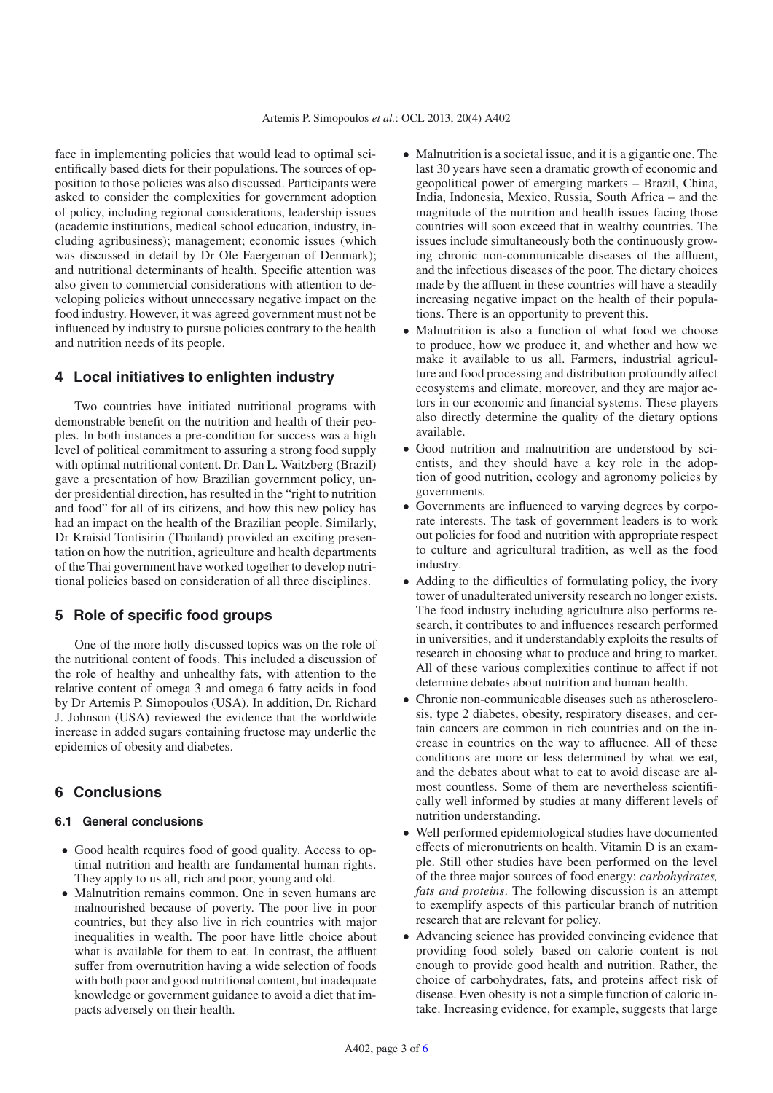face in implementing policies that would lead to optimal scientifically based diets for their populations. The sources of opposition to those policies was also discussed. Participants were asked to consider the complexities for government adoption of policy, including regional considerations, leadership issues (academic institutions, medical school education, industry, including agribusiness); management; economic issues (which was discussed in detail by Dr Ole Faergeman of Denmark); and nutritional determinants of health. Specific attention was also given to commercial considerations with attention to developing policies without unnecessary negative impact on the food industry. However, it was agreed government must not be influenced by industry to pursue policies contrary to the health and nutrition needs of its people.

# **4 Local initiatives to enlighten industry**

Two countries have initiated nutritional programs with demonstrable benefit on the nutrition and health of their peoples. In both instances a pre-condition for success was a high level of political commitment to assuring a strong food supply with optimal nutritional content. Dr. Dan L. Waitzberg (Brazil) gave a presentation of how Brazilian government policy, under presidential direction, has resulted in the "right to nutrition and food" for all of its citizens, and how this new policy has had an impact on the health of the Brazilian people. Similarly, Dr Kraisid Tontisirin (Thailand) provided an exciting presentation on how the nutrition, agriculture and health departments of the Thai government have worked together to develop nutritional policies based on consideration of all three disciplines.

## **5 Role of specific food groups**

One of the more hotly discussed topics was on the role of the nutritional content of foods. This included a discussion of the role of healthy and unhealthy fats, with attention to the relative content of omega 3 and omega 6 fatty acids in food by Dr Artemis P. Simopoulos (USA). In addition, Dr. Richard J. Johnson (USA) reviewed the evidence that the worldwide increase in added sugars containing fructose may underlie the epidemics of obesity and diabetes.

# **6 Conclusions**

## **6.1 General conclusions**

- Good health requires food of good quality. Access to optimal nutrition and health are fundamental human rights. They apply to us all, rich and poor, young and old.
- Malnutrition remains common. One in seven humans are malnourished because of poverty. The poor live in poor countries, but they also live in rich countries with major inequalities in wealth. The poor have little choice about what is available for them to eat. In contrast, the affluent suffer from overnutrition having a wide selection of foods with both poor and good nutritional content, but inadequate knowledge or government guidance to avoid a diet that impacts adversely on their health.
- Malnutrition is a societal issue, and it is a gigantic one. The last 30 years have seen a dramatic growth of economic and geopolitical power of emerging markets – Brazil, China, India, Indonesia, Mexico, Russia, South Africa – and the magnitude of the nutrition and health issues facing those countries will soon exceed that in wealthy countries. The issues include simultaneously both the continuously growing chronic non-communicable diseases of the affluent, and the infectious diseases of the poor. The dietary choices made by the affluent in these countries will have a steadily increasing negative impact on the health of their populations. There is an opportunity to prevent this.
- Malnutrition is also a function of what food we choose to produce, how we produce it, and whether and how we make it available to us all. Farmers, industrial agriculture and food processing and distribution profoundly affect ecosystems and climate, moreover, and they are major actors in our economic and financial systems. These players also directly determine the quality of the dietary options available.
- Good nutrition and malnutrition are understood by scientists, and they should have a key role in the adoption of good nutrition, ecology and agronomy policies by governments.
- Governments are influenced to varying degrees by corporate interests. The task of government leaders is to work out policies for food and nutrition with appropriate respect to culture and agricultural tradition, as well as the food industry.
- Adding to the difficulties of formulating policy, the ivory tower of unadulterated university research no longer exists. The food industry including agriculture also performs research, it contributes to and influences research performed in universities, and it understandably exploits the results of research in choosing what to produce and bring to market. All of these various complexities continue to affect if not determine debates about nutrition and human health.
- Chronic non-communicable diseases such as atherosclerosis, type 2 diabetes, obesity, respiratory diseases, and certain cancers are common in rich countries and on the increase in countries on the way to affluence. All of these conditions are more or less determined by what we eat, and the debates about what to eat to avoid disease are almost countless. Some of them are nevertheless scientifically well informed by studies at many different levels of nutrition understanding.
- Well performed epidemiological studies have documented effects of micronutrients on health. Vitamin D is an example. Still other studies have been performed on the level of the three major sources of food energy: *carbohydrates, fats and proteins*. The following discussion is an attempt to exemplify aspects of this particular branch of nutrition research that are relevant for policy.
- Advancing science has provided convincing evidence that providing food solely based on calorie content is not enough to provide good health and nutrition. Rather, the choice of carbohydrates, fats, and proteins affect risk of disease. Even obesity is not a simple function of caloric intake. Increasing evidence, for example, suggests that large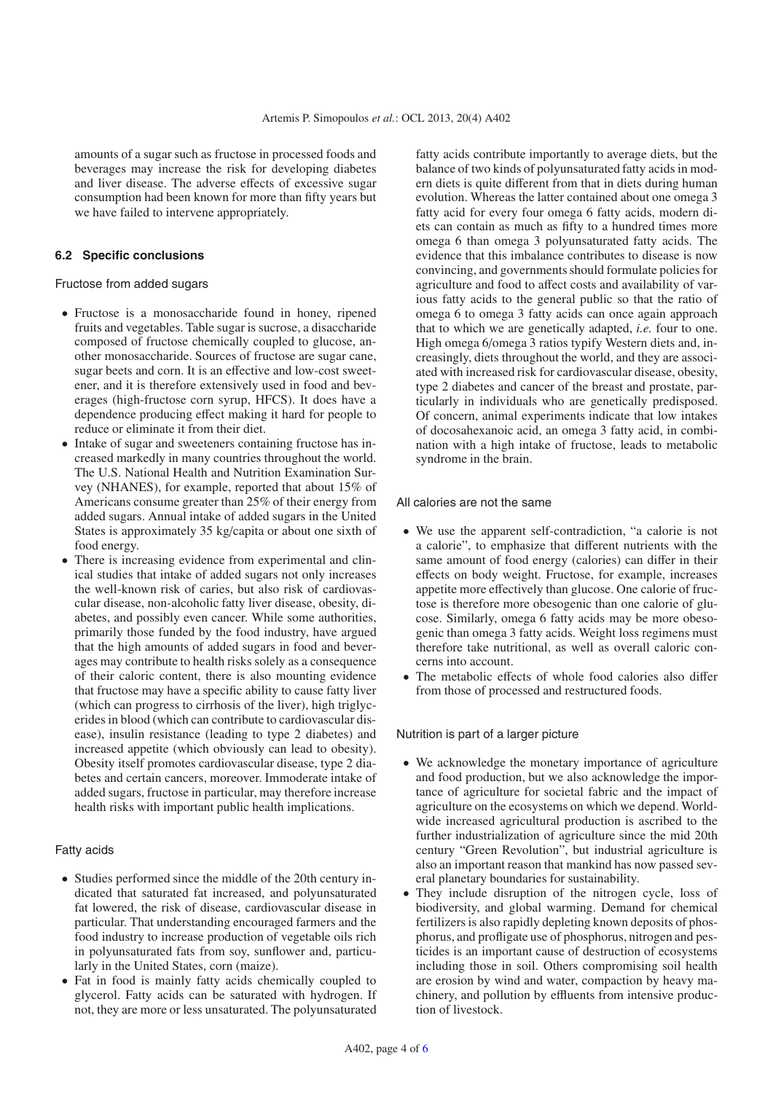amounts of a sugar such as fructose in processed foods and beverages may increase the risk for developing diabetes and liver disease. The adverse effects of excessive sugar consumption had been known for more than fifty years but we have failed to intervene appropriately.

## **6.2 Specific conclusions**

## Fructose from added sugars

- Fructose is a monosaccharide found in honey, ripened fruits and vegetables. Table sugar is sucrose, a disaccharide composed of fructose chemically coupled to glucose, another monosaccharide. Sources of fructose are sugar cane, sugar beets and corn. It is an effective and low-cost sweetener, and it is therefore extensively used in food and beverages (high-fructose corn syrup, HFCS). It does have a dependence producing effect making it hard for people to reduce or eliminate it from their diet.
- Intake of sugar and sweeteners containing fructose has increased markedly in many countries throughout the world. The U.S. National Health and Nutrition Examination Survey (NHANES), for example, reported that about 15% of Americans consume greater than 25% of their energy from added sugars. Annual intake of added sugars in the United States is approximately 35 kg/capita or about one sixth of food energy.
- There is increasing evidence from experimental and clinical studies that intake of added sugars not only increases the well-known risk of caries, but also risk of cardiovascular disease, non-alcoholic fatty liver disease, obesity, diabetes, and possibly even cancer. While some authorities, primarily those funded by the food industry, have argued that the high amounts of added sugars in food and beverages may contribute to health risks solely as a consequence of their caloric content, there is also mounting evidence that fructose may have a specific ability to cause fatty liver (which can progress to cirrhosis of the liver), high triglycerides in blood (which can contribute to cardiovascular disease), insulin resistance (leading to type 2 diabetes) and increased appetite (which obviously can lead to obesity). Obesity itself promotes cardiovascular disease, type 2 diabetes and certain cancers, moreover. Immoderate intake of added sugars, fructose in particular, may therefore increase health risks with important public health implications.

## Fatty acids

- Studies performed since the middle of the 20th century indicated that saturated fat increased, and polyunsaturated fat lowered, the risk of disease, cardiovascular disease in particular. That understanding encouraged farmers and the food industry to increase production of vegetable oils rich in polyunsaturated fats from soy, sunflower and, particularly in the United States, corn (maize).
- Fat in food is mainly fatty acids chemically coupled to glycerol. Fatty acids can be saturated with hydrogen. If not, they are more or less unsaturated. The polyunsaturated

fatty acids contribute importantly to average diets, but the balance of two kinds of polyunsaturated fatty acids in modern diets is quite different from that in diets during human evolution. Whereas the latter contained about one omega 3 fatty acid for every four omega 6 fatty acids, modern diets can contain as much as fifty to a hundred times more omega 6 than omega 3 polyunsaturated fatty acids. The evidence that this imbalance contributes to disease is now convincing, and governments should formulate policies for agriculture and food to affect costs and availability of various fatty acids to the general public so that the ratio of omega 6 to omega 3 fatty acids can once again approach that to which we are genetically adapted, *i.e.* four to one. High omega 6/omega 3 ratios typify Western diets and, increasingly, diets throughout the world, and they are associated with increased risk for cardiovascular disease, obesity, type 2 diabetes and cancer of the breast and prostate, particularly in individuals who are genetically predisposed. Of concern, animal experiments indicate that low intakes of docosahexanoic acid, an omega 3 fatty acid, in combination with a high intake of fructose, leads to metabolic syndrome in the brain.

#### All calories are not the same

- We use the apparent self-contradiction, "a calorie is not a calorie", to emphasize that different nutrients with the same amount of food energy (calories) can differ in their effects on body weight. Fructose, for example, increases appetite more effectively than glucose. One calorie of fructose is therefore more obesogenic than one calorie of glucose. Similarly, omega 6 fatty acids may be more obesogenic than omega 3 fatty acids. Weight loss regimens must therefore take nutritional, as well as overall caloric concerns into account.
- The metabolic effects of whole food calories also differ from those of processed and restructured foods.

#### Nutrition is part of a larger picture

- We acknowledge the monetary importance of agriculture and food production, but we also acknowledge the importance of agriculture for societal fabric and the impact of agriculture on the ecosystems on which we depend. Worldwide increased agricultural production is ascribed to the further industrialization of agriculture since the mid 20th century "Green Revolution", but industrial agriculture is also an important reason that mankind has now passed several planetary boundaries for sustainability.
- They include disruption of the nitrogen cycle, loss of biodiversity, and global warming. Demand for chemical fertilizers is also rapidly depleting known deposits of phosphorus, and profligate use of phosphorus, nitrogen and pesticides is an important cause of destruction of ecosystems including those in soil. Others compromising soil health are erosion by wind and water, compaction by heavy machinery, and pollution by effluents from intensive production of livestock.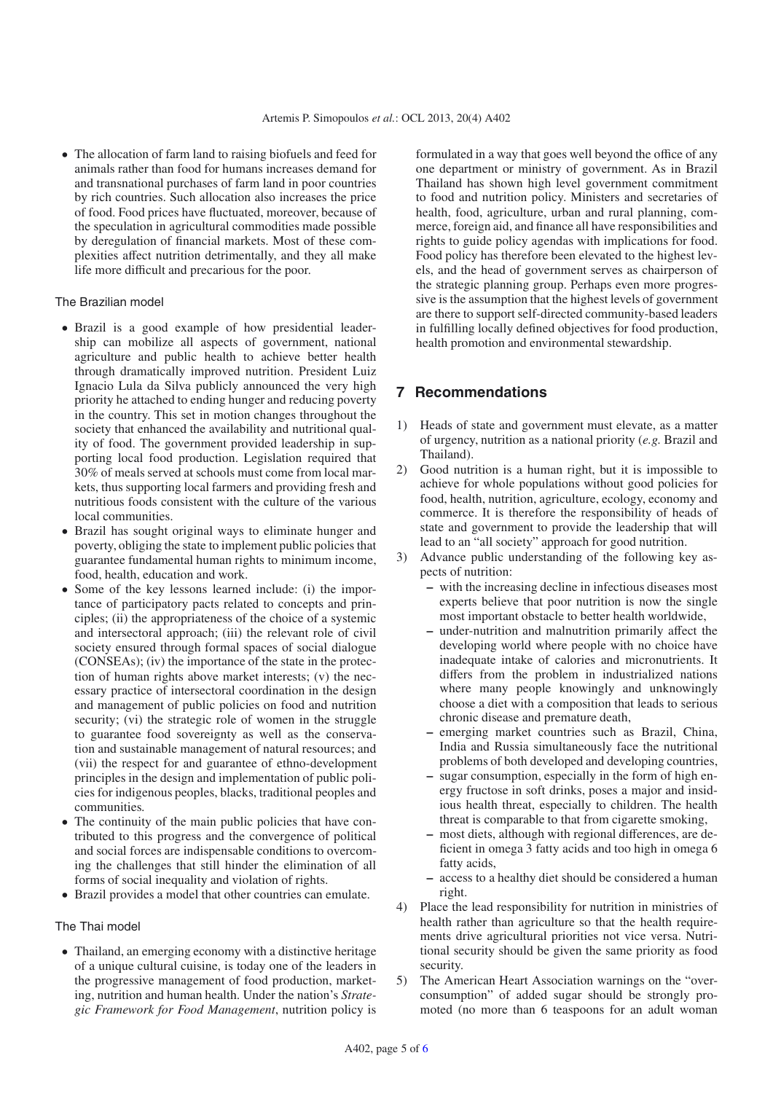• The allocation of farm land to raising biofuels and feed for animals rather than food for humans increases demand for and transnational purchases of farm land in poor countries by rich countries. Such allocation also increases the price of food. Food prices have fluctuated, moreover, because of the speculation in agricultural commodities made possible by deregulation of financial markets. Most of these complexities affect nutrition detrimentally, and they all make life more difficult and precarious for the poor.

#### The Brazilian model

- Brazil is a good example of how presidential leadership can mobilize all aspects of government, national agriculture and public health to achieve better health through dramatically improved nutrition. President Luiz Ignacio Lula da Silva publicly announced the very high priority he attached to ending hunger and reducing poverty in the country. This set in motion changes throughout the society that enhanced the availability and nutritional quality of food. The government provided leadership in supporting local food production. Legislation required that 30% of meals served at schools must come from local markets, thus supporting local farmers and providing fresh and nutritious foods consistent with the culture of the various local communities.
- Brazil has sought original ways to eliminate hunger and poverty, obliging the state to implement public policies that guarantee fundamental human rights to minimum income, food, health, education and work.
- Some of the key lessons learned include: (i) the importance of participatory pacts related to concepts and principles; (ii) the appropriateness of the choice of a systemic and intersectoral approach; (iii) the relevant role of civil society ensured through formal spaces of social dialogue (CONSEAs); (iv) the importance of the state in the protection of human rights above market interests; (v) the necessary practice of intersectoral coordination in the design and management of public policies on food and nutrition security; (vi) the strategic role of women in the struggle to guarantee food sovereignty as well as the conservation and sustainable management of natural resources; and (vii) the respect for and guarantee of ethno-development principles in the design and implementation of public policies for indigenous peoples, blacks, traditional peoples and communities.
- The continuity of the main public policies that have contributed to this progress and the convergence of political and social forces are indispensable conditions to overcoming the challenges that still hinder the elimination of all forms of social inequality and violation of rights.
- Brazil provides a model that other countries can emulate.

#### The Thai model

• Thailand, an emerging economy with a distinctive heritage of a unique cultural cuisine, is today one of the leaders in the progressive management of food production, marketing, nutrition and human health. Under the nation's *Strategic Framework for Food Management*, nutrition policy is formulated in a way that goes well beyond the office of any one department or ministry of government. As in Brazil Thailand has shown high level government commitment to food and nutrition policy. Ministers and secretaries of health, food, agriculture, urban and rural planning, commerce, foreign aid, and finance all have responsibilities and rights to guide policy agendas with implications for food. Food policy has therefore been elevated to the highest levels, and the head of government serves as chairperson of the strategic planning group. Perhaps even more progressive is the assumption that the highest levels of government are there to support self-directed community-based leaders in fulfilling locally defined objectives for food production, health promotion and environmental stewardship.

# **7 Recommendations**

- 1) Heads of state and government must elevate, as a matter of urgency, nutrition as a national priority (*e.g.* Brazil and Thailand).
- 2) Good nutrition is a human right, but it is impossible to achieve for whole populations without good policies for food, health, nutrition, agriculture, ecology, economy and commerce. It is therefore the responsibility of heads of state and government to provide the leadership that will lead to an "all society" approach for good nutrition.
- 3) Advance public understanding of the following key aspects of nutrition:
	- **–** with the increasing decline in infectious diseases most experts believe that poor nutrition is now the single most important obstacle to better health worldwide,
	- **–** under-nutrition and malnutrition primarily affect the developing world where people with no choice have inadequate intake of calories and micronutrients. It differs from the problem in industrialized nations where many people knowingly and unknowingly choose a diet with a composition that leads to serious chronic disease and premature death,
	- **–** emerging market countries such as Brazil, China, India and Russia simultaneously face the nutritional problems of both developed and developing countries,
	- **–** sugar consumption, especially in the form of high energy fructose in soft drinks, poses a major and insidious health threat, especially to children. The health threat is comparable to that from cigarette smoking,
	- **–** most diets, although with regional differences, are deficient in omega 3 fatty acids and too high in omega 6 fatty acids,
	- **–** access to a healthy diet should be considered a human right.
- 4) Place the lead responsibility for nutrition in ministries of health rather than agriculture so that the health requirements drive agricultural priorities not vice versa. Nutritional security should be given the same priority as food security.
- 5) The American Heart Association warnings on the "overconsumption" of added sugar should be strongly promoted (no more than 6 teaspoons for an adult woman